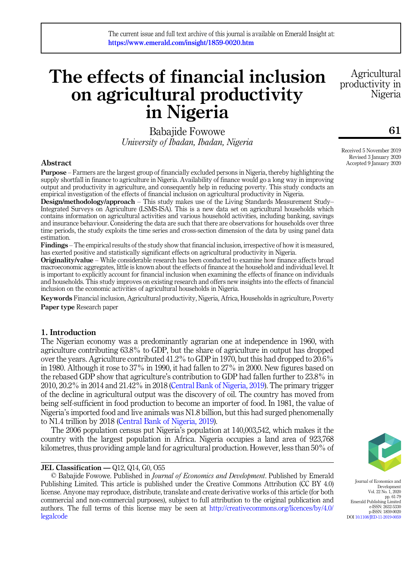# The effects of financial inclusion on agricultural productivity in Nigeria

Babajide Fowowe University of Ibadan, Ibadan, Nigeria

# Abstract

Purpose – Farmers are the largest group of financially excluded persons in Nigeria, thereby highlighting the supply shortfall in finance to agriculture in Nigeria. Availability of finance would go a long way in improving output and productivity in agriculture, and consequently help in reducing poverty. This study conducts an empirical investigation of the effects of financial inclusion on agricultural productivity in Nigeria.

Design/methodology/approach – This study makes use of the Living Standards Measurement Study– Integrated Surveys on Agriculture (LSMS-ISA). This is a new data set on agricultural households which contains information on agricultural activities and various household activities, including banking, savings and insurance behaviour. Considering the data are such that there are observations for households over three time periods, the study exploits the time series and cross-section dimension of the data by using panel data estimation.

Findings – The empirical results of the study show that financial inclusion, irrespective of how it is measured, has exerted positive and statistically significant effects on agricultural productivity in Nigeria.

Originality/value – While considerable research has been conducted to examine how finance affects broad macroeconomic aggregates, little is known about the effects of finance at the household and individual level. It is important to explicitly account for financial inclusion when examining the effects of finance on individuals and households. This study improves on existing research and offers new insights into the effects of financial inclusion on the economic activities of agricultural households in Nigeria.

Keywords Financial inclusion, Agricultural productivity, Nigeria, Africa, Households in agriculture, Poverty Paper type Research paper

# 1. Introduction

The Nigerian economy was a predominantly agrarian one at independence in 1960, with agriculture contributing 63.8% to GDP, but the share of agriculture in output has dropped over the years. Agriculture contributed 41.2% to GDP in 1970, but this had dropped to 20.6% in 1980. Although it rose to 37% in 1990, it had fallen to 27% in 2000. New figures based on the rebased GDP show that agriculture's contribution to GDP had fallen further to 23.8% in 2010, 20.2% in 2014 and 21.42% in 2018 [\(Central Bank of Nigeria, 2019](#page-16-0)). The primary trigger of the decline in agricultural output was the discovery of oil. The country has moved from being self-sufficient in food production to become an importer of food. In 1981, the value of Nigeria's imported food and live animals was N1.8 billion, but this had surged phenomenally to N1.4 trillion by 2018 [\(Central Bank of Nigeria, 2019](#page-16-0)).

The 2006 population census put Nigeria's population at 140,003,542, which makes it the country with the largest population in Africa. Nigeria occupies a land area of 923,768 kilometres, thus providing ample land for agricultural production. However, less than 50% of

# JEL Classification — Q12, Q14, G0, O55

© Babajide Fowowe. Published in Journal of Economics and Development. Published by Emerald Publishing Limited. This article is published under the Creative Commons Attribution (CC BY 4.0) license. Anyone may reproduce, distribute, translate and create derivative works of this article (for both commercial and non-commercial purposes), subject to full attribution to the original publication and authors. The full terms of this license may be seen at [http://creativecommons.org/licences/by/4.0/](http://creativecommons.org/licences/by/4.0/legalcode) [legalcode](http://creativecommons.org/licences/by/4.0/legalcode)

Journal of Economics and Development Vol. 22 No. 1, 2020

Received 5 November 2019 Revised 3 January 2020

Accepted 9 January 2020

Agricultural productivity in

Nigeria



pp. 61-79 Emerald Publishing Limited e-ISSN: 2632-5330 p-ISSN: 1859-0020

DOI [10.1108/JED-11-2019-0059](https://doi.org/10.1108/JED-11-2019-0059)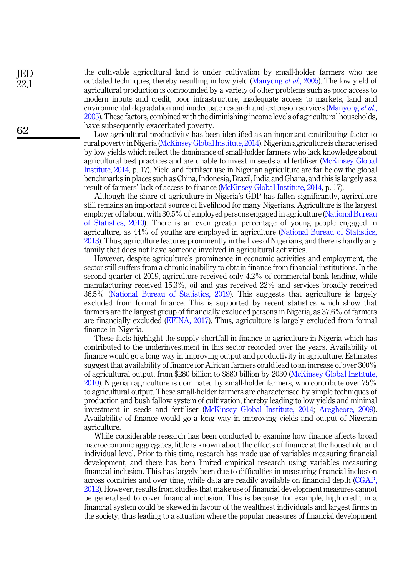the cultivable agricultural land is under cultivation by small-holder farmers who use outdated techniques, thereby resulting in low yield ([Manyong](#page-17-0) *et al.*, 2005). The low yield of agricultural production is compounded by a variety of other problems such as poor access to modern inputs and credit, poor infrastructure, inadequate access to markets, land and environmental degradation and inadequate research and extension services ([Manyong](#page-17-0) *et al.*, [2005\)](#page-17-0). These factors, combined with the diminishing income levels of agricultural households, have subsequently exacerbated poverty.

Low agricultural productivity has been identified as an important contributing factor to rural poverty in Nigeria [\(McKinsey Global Institute, 2014](#page-17-1)). Nigerian agriculture is characterised by low yields which reflect the dominance of small-holder farmers who lack knowledge about agricultural best practices and are unable to invest in seeds and fertiliser [\(McKinsey Global](#page-17-1) [Institute, 2014](#page-17-1), p. 17). Yield and fertiliser use in Nigerian agriculture are far below the global benchmarks in places such as China, Indonesia, Brazil, India and Ghana, and this is largely as a result of farmers' lack of access to finance [\(McKinsey Global Institute, 2014](#page-17-1), p. 17).

Although the share of agriculture in Nigeria's GDP has fallen significantly, agriculture still remains an important source of livelihood for many Nigerians. Agriculture is the largest employer of labour, with 30.5% of employed persons engaged in agriculture ([National Bureau](#page-17-2) [of Statistics, 2010](#page-17-2)). There is an even greater percentage of young people engaged in agriculture, as 44% of youths are employed in agriculture [\(National Bureau of Statistics,](#page-17-3) [2013\)](#page-17-3). Thus, agriculture features prominently in the lives of Nigerians, and there is hardly any family that does not have someone involved in agricultural activities.

However, despite agriculture's prominence in economic activities and employment, the sector still suffers from a chronic inability to obtain finance from financial institutions. In the second quarter of 2019, agriculture received only 4.2% of commercial bank lending, while manufacturing received 15.3%, oil and gas received 22% and services broadly received 36.5% [\(National Bureau of Statistics, 2019](#page-17-4)). This suggests that agriculture is largely excluded from formal finance. This is supported by recent statistics which show that farmers are the largest group of financially excluded persons in Nigeria, as 37.6% of farmers are financially excluded [\(EFINA, 2017](#page-17-5)). Thus, agriculture is largely excluded from formal finance in Nigeria.

These facts highlight the supply shortfall in finance to agriculture in Nigeria which has contributed to the underinvestment in this sector recorded over the years. Availability of finance would go a long way in improving output and productivity in agriculture. Estimates suggest that availability of finance for African farmers could lead to an increase of over 300% of agricultural output, from \$280 billion to \$880 billion by 2030 ([McKinsey Global Institute,](#page-17-6) [2010\)](#page-17-6). Nigerian agriculture is dominated by small-holder farmers, who contribute over 75% to agricultural output. These small-holder farmers are characterised by simple techniques of production and bush fallow system of cultivation, thereby leading to low yields and minimal investment in seeds and fertiliser [\(McKinsey Global Institute, 2014](#page-17-1); [Aregheore, 2009\)](#page-16-1). Availability of finance would go a long way in improving yields and output of Nigerian agriculture.

While considerable research has been conducted to examine how finance affects broad macroeconomic aggregates, little is known about the effects of finance at the household and individual level. Prior to this time, research has made use of variables measuring financial development, and there has been limited empirical research using variables measuring financial inclusion. This has largely been due to difficulties in measuring financial inclusion across countries and over time, while data are readily available on financial depth [\(CGAP,](#page-16-2) [2012\)](#page-16-2). However, results from studies that make use of financial development measures cannot be generalised to cover financial inclusion. This is because, for example, high credit in a financial system could be skewed in favour of the wealthiest individuals and largest firms in the society, thus leading to a situation where the popular measures of financial development

JED 22,1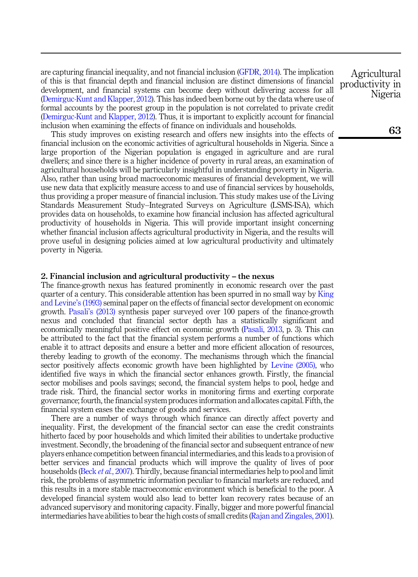are capturing financial inequality, and not financial inclusion [\(GFDR, 2014](#page-17-7)). The implication of this is that financial depth and financial inclusion are distinct dimensions of financial development, and financial systems can become deep without delivering access for all ([Demirguc-Kunt and Klapper, 2012\)](#page-16-3). This has indeed been borne out by the data where use of formal accounts by the poorest group in the population is not correlated to private credit ([Demirguc-Kunt and Klapper, 2012\)](#page-16-3). Thus, it is important to explicitly account for financial inclusion when examining the effects of finance on individuals and households.

This study improves on existing research and offers new insights into the effects of financial inclusion on the economic activities of agricultural households in Nigeria. Since a large proportion of the Nigerian population is engaged in agriculture and are rural dwellers; and since there is a higher incidence of poverty in rural areas, an examination of agricultural households will be particularly insightful in understanding poverty in Nigeria. Also, rather than using broad macroeconomic measures of financial development, we will use new data that explicitly measure access to and use of financial services by households, thus providing a proper measure of financial inclusion. This study makes use of the Living Standards Measurement Study–Integrated Surveys on Agriculture (LSMS-ISA), which provides data on households, to examine how financial inclusion has affected agricultural productivity of households in Nigeria. This will provide important insight concerning whether financial inclusion affects agricultural productivity in Nigeria, and the results will prove useful in designing policies aimed at low agricultural productivity and ultimately poverty in Nigeria.

# 2. Financial inclusion and agricultural productivity – the nexus

The finance-growth nexus has featured prominently in economic research over the past quarter of a century. This considerable attention has been spurred in no small way by [King](#page-17-8) [and Levine](#page-17-8)'s (1993) seminal paper on the effects of financial sector development on economic growth. Pasali'[s \(2013\)](#page-17-9) synthesis paper surveyed over 100 papers of the finance-growth nexus and concluded that financial sector depth has a statistically significant and economically meaningful positive effect on economic growth ([Pasali, 2013](#page-17-9), p. 3). This can be attributed to the fact that the financial system performs a number of functions which enable it to attract deposits and ensure a better and more efficient allocation of resources, thereby leading to growth of the economy. The mechanisms through which the financial sector positively affects economic growth have been highlighted by [Levine \(2005\)](#page-17-10), who identified five ways in which the financial sector enhances growth. Firstly, the financial sector mobilises and pools savings; second, the financial system helps to pool, hedge and trade risk. Third, the financial sector works in monitoring firms and exerting corporate governance; fourth, the financial system produces information and allocates capital. Fifth, the financial system eases the exchange of goods and services.

There are a number of ways through which finance can directly affect poverty and inequality. First, the development of the financial sector can ease the credit constraints hitherto faced by poor households and which limited their abilities to undertake productive investment. Secondly, the broadening of the financial sector and subsequent entrance of new players enhance competition between financial intermediaries, and this leads to a provision of better services and financial products which will improve the quality of lives of poor households (Beck et al.[, 2007\)](#page-16-4). Thirdly, because financial intermediaries help to pool and limit risk, the problems of asymmetric information peculiar to financial markets are reduced, and this results in a more stable macroeconomic environment which is beneficial to the poor. A developed financial system would also lead to better loan recovery rates because of an advanced supervisory and monitoring capacity. Finally, bigger and more powerful financial intermediaries have abilities to bear the high costs of small credits ([Rajan and Zingales, 2001\)](#page-17-11).

Agricultural productivity in Nigeria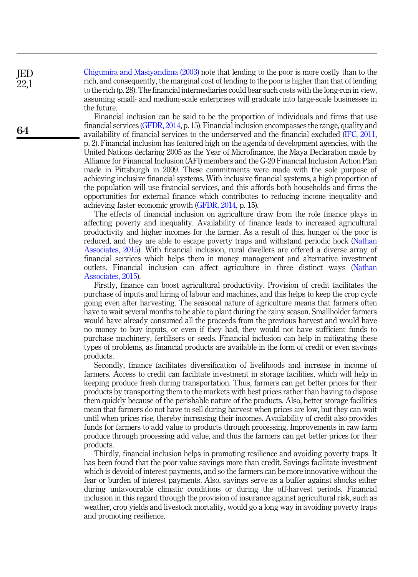[Chigumira and Masiyandima \(2003\)](#page-16-5) note that lending to the poor is more costly than to the rich, and consequently, the marginal cost of lending to the poor is higher than that of lending to the rich (p. 28). The financial intermediaries could bear such costs with the long-run in view, assuming small- and medium-scale enterprises will graduate into large-scale businesses in the future.

Financial inclusion can be said to be the proportion of individuals and firms that use financial services ([GFDR, 2014](#page-17-7), p. 15). Financial inclusion encompasses the range, quality and availability of financial services to the underserved and the financial excluded ([IFC, 2011](#page-17-12), p. 2). Financial inclusion has featured high on the agenda of development agencies, with the United Nations declaring 2005 as the Year of Microfinance, the Maya Declaration made by Alliance for Financial Inclusion (AFI) members and the G-20 Financial Inclusion Action Plan made in Pittsburgh in 2009. These commitments were made with the sole purpose of achieving inclusive financial systems. With inclusive financial systems, a high proportion of the population will use financial services, and this affords both households and firms the opportunities for external finance which contributes to reducing income inequality and achieving faster economic growth ([GFDR, 2014,](#page-17-7) p. 15).

The effects of financial inclusion on agriculture draw from the role finance plays in affecting poverty and inequality. Availability of finance leads to increased agricultural productivity and higher incomes for the farmer. As a result of this, hunger of the poor is reduced, and they are able to escape poverty traps and withstand periodic hock [\(Nathan](#page-17-13) [Associates, 2015](#page-17-13)). With financial inclusion, rural dwellers are offered a diverse array of financial services which helps them in money management and alternative investment outlets. Financial inclusion can affect agriculture in three distinct ways [\(Nathan](#page-17-13) [Associates, 2015\)](#page-17-13).

Firstly, finance can boost agricultural productivity. Provision of credit facilitates the purchase of inputs and hiring of labour and machines, and this helps to keep the crop cycle going even after harvesting. The seasonal nature of agriculture means that farmers often have to wait several months to be able to plant during the rainy season. Smallholder farmers would have already consumed all the proceeds from the previous harvest and would have no money to buy inputs, or even if they had, they would not have sufficient funds to purchase machinery, fertilisers or seeds. Financial inclusion can help in mitigating these types of problems, as financial products are available in the form of credit or even savings products.

Secondly, finance facilitates diversification of livelihoods and increase in income of farmers. Access to credit can facilitate investment in storage facilities, which will help in keeping produce fresh during transportation. Thus, farmers can get better prices for their products by transporting them to the markets with best prices rather than having to dispose them quickly because of the perishable nature of the products. Also, better storage facilities mean that farmers do not have to sell during harvest when prices are low, but they can wait until when prices rise, thereby increasing their incomes. Availability of credit also provides funds for farmers to add value to products through processing. Improvements in raw farm produce through processing add value, and thus the farmers can get better prices for their products.

Thirdly, financial inclusion helps in promoting resilience and avoiding poverty traps. It has been found that the poor value savings more than credit. Savings facilitate investment which is devoid of interest payments, and so the farmers can be more innovative without the fear or burden of interest payments. Also, savings serve as a buffer against shocks either during unfavourable climatic conditions or during the off-harvest periods. Financial inclusion in this regard through the provision of insurance against agricultural risk, such as weather, crop yields and livestock mortality, would go a long way in avoiding poverty traps and promoting resilience.

JED 22,1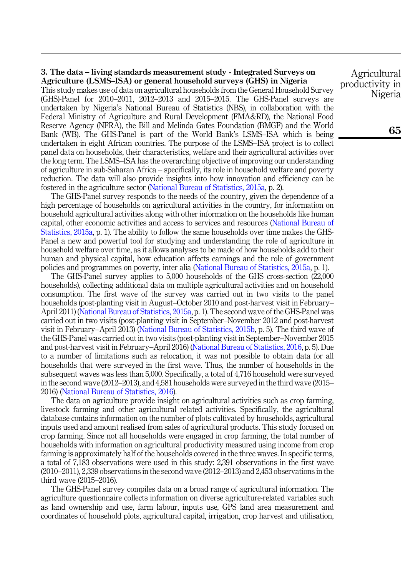#### 3. The data – living standards measurement study - Integrated Surveys on Agriculture (LSMS–ISA) or general household surveys (GHS) in Nigeria

This study makes use of data on agricultural households from the General Household Survey (GHS)-Panel for 2010–2011, 2012–2013 and 2015–2015. The GHS-Panel surveys are undertaken by Nigeria's National Bureau of Statistics (NBS), in collaboration with the Federal Ministry of Agriculture and Rural Development (FMA&RD), the National Food Reserve Agency (NFRA), the Bill and Melinda Gates Foundation (BMGF) and the World Bank (WB). The GHS-Panel is part of the World Bank's LSMS–ISA which is being undertaken in eight African countries. The purpose of the LSMS–ISA project is to collect panel data on households, their characteristics, welfare and their agricultural activities over the long term. The LSMS–ISA has the overarching objective of improving our understanding of agriculture in sub-Saharan Africa – specifically, its role in household welfare and poverty reduction. The data will also provide insights into how innovation and efficiency can be fostered in the agriculture sector ([National Bureau of Statistics, 2015a,](#page-17-14) p. 2).

The GHS-Panel survey responds to the needs of the country, given the dependence of a high percentage of households on agricultural activities in the country, for information on household agricultural activities along with other information on the households like human capital, other economic activities and access to services and resources [\(National Bureau of](#page-17-14) [Statistics, 2015a](#page-17-14), p. 1). The ability to follow the same households over time makes the GHS-Panel a new and powerful tool for studying and understanding the role of agriculture in household welfare over time, as it allows analyses to be made of how households add to their human and physical capital, how education affects earnings and the role of government policies and programmes on poverty, inter alia [\(National Bureau of Statistics, 2015a](#page-17-14), p. 1).

The GHS-Panel survey applies to 5,000 households of the GHS cross-section (22,000 households), collecting additional data on multiple agricultural activities and on household consumption. The first wave of the survey was carried out in two visits to the panel households (post-planting visit in August–October 2010 and post-harvest visit in February– April 2011) ([National Bureau of Statistics, 2015a,](#page-17-14) p. 1). The second wave of the GHS-Panel was carried out in two visits (post-planting visit in September–November 2012 and post-harvest visit in February–April 2013) [\(National Bureau of Statistics, 2015b,](#page-17-15) p. 5). The third wave of the GHS-Panel was carried out in two visits (post-planting visit in September–November 2015 and post-harvest visit in February–April 2016) [\(National Bureau of Statistics, 2016](#page-17-16), p. 5). Due to a number of limitations such as relocation, it was not possible to obtain data for all households that were surveyed in the first wave. Thus, the number of households in the subsequent waves was less than 5,000. Specifically, a total of 4,716 household were surveyed in the second wave (2012–2013), and 4,581 households were surveyed in the third wave (2015– 2016) [\(National Bureau of Statistics, 2016\)](#page-17-16).

The data on agriculture provide insight on agricultural activities such as crop farming, livestock farming and other agricultural related activities. Specifically, the agricultural database contains information on the number of plots cultivated by households, agricultural inputs used and amount realised from sales of agricultural products. This study focused on crop farming. Since not all households were engaged in crop farming, the total number of households with information on agricultural productivity measured using income from crop farming is approximately half of the households covered in the three waves. In specific terms, a total of 7,183 observations were used in this study: 2,391 observations in the first wave (2010–2011), 2,339 observations in the second wave (2012–2013) and 2,453 observations in the third wave (2015–2016).

The GHS-Panel survey compiles data on a broad range of agricultural information. The agriculture questionnaire collects information on diverse agriculture-related variables such as land ownership and use, farm labour, inputs use, GPS land area measurement and coordinates of household plots, agricultural capital, irrigation, crop harvest and utilisation,

Agricultural productivity in Nigeria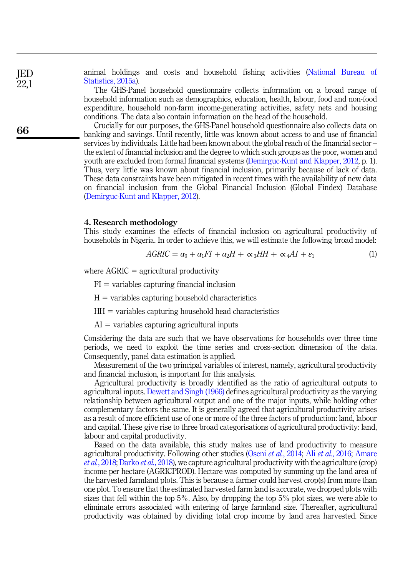animal holdings and costs and household fishing activities ([National Bureau of](#page-17-14) [Statistics, 2015a](#page-17-14)).

The GHS-Panel household questionnaire collects information on a broad range of household information such as demographics, education, health, labour, food and non-food expenditure, household non-farm income-generating activities, safety nets and housing conditions. The data also contain information on the head of the household.

Crucially for our purposes, the GHS-Panel household questionnaire also collects data on banking and savings. Until recently, little was known about access to and use of financial services by individuals. Little had been known about the global reach of the financial sector – the extent of financial inclusion and the degree to which such groups as the poor, women and youth are excluded from formal financial systems ([Demirguc-Kunt and Klapper, 2012,](#page-16-3) p. 1). Thus, very little was known about financial inclusion, primarily because of lack of data. These data constraints have been mitigated in recent times with the availability of new data on financial inclusion from the Global Financial Inclusion (Global Findex) Database ([Demirguc-Kunt and Klapper, 2012\)](#page-16-3).

#### 4. Research methodology

<span id="page-5-0"></span>This study examines the effects of financial inclusion on agricultural productivity of households in Nigeria. In order to achieve this, we will estimate the following broad model:

$$
AGRIC = \alpha_0 + \alpha_1 FI + \alpha_2 H + \alpha_3 HH + \alpha_4 AI + \varepsilon_1 \tag{1}
$$

where  $AGRIC =$  agricultural productivity

 $FI =$  variables capturing financial inclusion

- $H =$  variables capturing household characteristics
- $HH =$  variables capturing household head characteristics
- $AI =$  variables capturing agricultural inputs

Considering the data are such that we have observations for households over three time periods, we need to exploit the time series and cross-section dimension of the data. Consequently, panel data estimation is applied.

Measurement of the two principal variables of interest, namely, agricultural productivity and financial inclusion, is important for this analysis.

Agricultural productivity is broadly identified as the ratio of agricultural outputs to agricultural inputs. [Dewett and Singh \(1966\)](#page-17-17) defines agricultural productivity as the varying relationship between agricultural output and one of the major inputs, while holding other complementary factors the same. It is generally agreed that agricultural productivity arises as a result of more efficient use of one or more of the three factors of production: land, labour and capital. These give rise to three broad categorisations of agricultural productivity: land, labour and capital productivity.

Based on the data available, this study makes use of land productivity to measure agricultural productivity. Following other studies (Oseni et al.[, 2014](#page-17-18); Ali et al.[, 2016;](#page-16-6) [Amare](#page-16-7) et al.[, 2018](#page-16-7); [Darko](#page-16-8) et al., 2018), we capture agricultural productivity with the agriculture (crop) income per hectare (AGRICPROD). Hectare was computed by summing up the land area of the harvested farmland plots. This is because a farmer could harvest crop(s) from more than one plot. To ensure that the estimated harvested farm land is accurate, we dropped plots with sizes that fell within the top 5%. Also, by dropping the top 5% plot sizes, we were able to eliminate errors associated with entering of large farmland size. Thereafter, agricultural productivity was obtained by dividing total crop income by land area harvested. Since

66

JED 22,1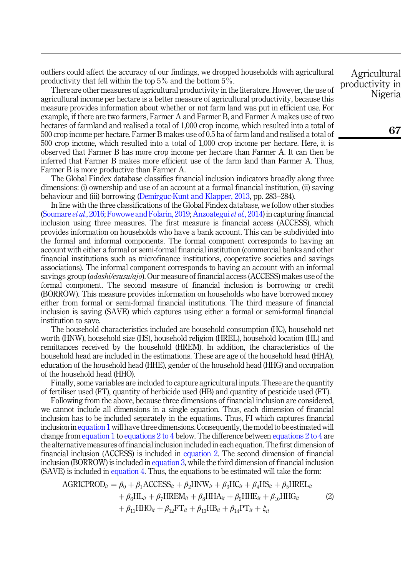outliers could affect the accuracy of our findings, we dropped households with agricultural productivity that fell within the top 5% and the bottom 5%.

There are other measures of agricultural productivity in the literature. However, the use of agricultural income per hectare is a better measure of agricultural productivity, because this measure provides information about whether or not farm land was put in efficient use. For example, if there are two farmers, Farmer A and Farmer B, and Farmer A makes use of two hectares of farmland and realised a total of 1,000 crop income, which resulted into a total of 500 crop income per hectare. Farmer B makes use of 0.5 ha of farm land and realised a total of 500 crop income, which resulted into a total of 1,000 crop income per hectare. Here, it is observed that Farmer B has more crop income per hectare than Farmer A. It can then be inferred that Farmer B makes more efficient use of the farm land than Farmer A. Thus, Farmer B is more productive than Farmer A.

The Global Findex database classifies financial inclusion indicators broadly along three dimensions: (i) ownership and use of an account at a formal financial institution, (ii) saving behaviour and (iii) borrowing ([Demirguc-Kunt and Klapper, 2013,](#page-17-19) pp. 283–284).

In line with the three classifications of the Global Findex database, we follow other studies ([Soumare](#page-18-0) et al., 2016; [Fowowe and Folarin, 2019](#page-17-20); [Anzoategui](#page-16-9)et al., 2014) in capturing financial inclusion using three measures. The first measure is financial access (ACCESS), which provides information on households who have a bank account. This can be subdivided into the formal and informal components. The formal component corresponds to having an account with either a formal or semi-formal financial institution (commercial banks and other financial institutions such as microfinance institutions, cooperative societies and savings associations). The informal component corresponds to having an account with an informal sayings group *(adashi/esusu/ajo*). Our measure of financial access (ACCESS) makes use of the formal component. The second measure of financial inclusion is borrowing or credit (BORROW). This measure provides information on households who have borrowed money either from formal or semi-formal financial institutions. The third measure of financial inclusion is saving (SAVE) which captures using either a formal or semi-formal financial institution to save.

The household characteristics included are household consumption (HC), household net worth (HNW), household size (HS), household religion (HREL), household location (HL) and remittances received by the household (HREM). In addition, the characteristics of the household head are included in the estimations. These are age of the household head (HHA), education of the household head (HHE), gender of the household head (HHG) and occupation of the household head (HHO).

Finally, some variables are included to capture agricultural inputs. These are the quantity of fertiliser used (FT), quantity of herbicide used (HB) and quantity of pesticide used (FT).

Following from the above, because three dimensions of financial inclusion are considered, we cannot include all dimensions in a single equation. Thus, each dimension of financial inclusion has to be included separately in the equations. Thus, FI which captures financial inclusion in [equation 1](#page-5-0) will have three dimensions. Consequently, the model to be estimated will change from [equation 1](#page-5-0) to [equations 2 to 4](#page-6-0) below. The difference between equations 2 to 4 are the alternative measures of financial inclusion included in each equation. The first dimension of financial inclusion (ACCESS) is included in [equation 2.](#page-6-0) The second dimension of financial inclusion (BORROW) is included in [equation 3,](#page-7-0) while the third dimension of financial inclusion (SAVE) is included in [equation 4](#page-7-1). Thus, the equations to be estimated will take the form:

<span id="page-6-0"></span>AGRICPROD<sub>it</sub> = 
$$
\beta_0 + \beta_1 \text{ACCESS}_{it} + \beta_2 \text{HNW}_{it} + \beta_3 \text{HC}_{it} + \beta_4 \text{HS}_{it} + \beta_5 \text{HREL}_{it}
$$
  
+  $\beta_6 \text{HL}_{it} + \beta_7 \text{HREM}_{it} + \beta_8 \text{HHA}_{it} + \beta_9 \text{HHE}_{it} + \beta_{10} \text{HHG}_{it}$  (2)  
+  $\beta_{11} \text{HHO}_{it} + \beta_{12} \text{FT}_{it} + \beta_{13} \text{HB}_{it} + \beta_{14} \text{PT}_{it} + \xi_{it}$ 

Agricultural productivity in Nigeria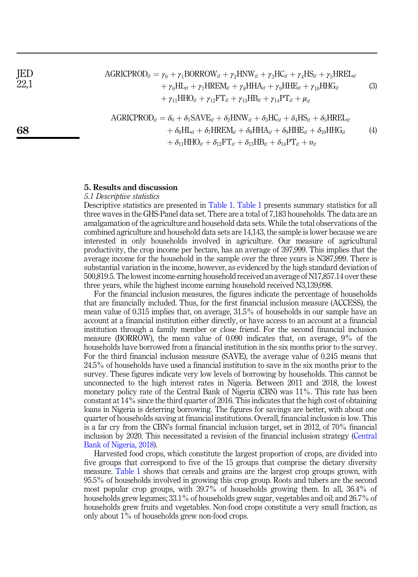JED 22,1

68

<span id="page-7-0"></span> $AGRICPROD_{it} = \gamma_0 + \gamma_1 BORROW_{it} + \gamma_2 HNW_{it} + \gamma_3 HC_{it} + \gamma_4 HS_{it} + \gamma_5 HREL_{it}$  $+\gamma_6\text{HL}_{it} + \gamma_7\text{HREM}_{it} + \gamma_8\text{HHA}_{it} + \gamma_9\text{HHE}_{it} + \gamma_{10}\text{HHG}_{it}$  $+\gamma_{11}HHO_{it} + \gamma_{12}FT_{it} + \gamma_{13}HB_{it} + \gamma_{14}PT_{it} + \mu_{it}$ (3)

<span id="page-7-1"></span>AGRICPROD<sub>it</sub> = 
$$
\delta_0 + \delta_1 \text{SAVE}_{it} + \delta_2 \text{HNW}_{it} + \delta_3 \text{HC}_{it} + \delta_4 \text{HS}_{it} + \delta_5 \text{HREL}_{it}
$$
  
+  $\delta_6 \text{HL}_{it} + \delta_7 \text{HREM}_{it} + \delta_8 \text{HHA}_{it} + \delta_9 \text{HHE}_{it} + \delta_{10} \text{HHG}_{it}$  (4)  
+  $\delta_{11} \text{HHO}_{it} + \delta_{12} \text{FT}_{it} + \delta_{13} \text{HB}_{it} + \delta_{14} \text{PT}_{it} + v_{it}$ 

## 5. Results and discussion

#### 5.1 Descriptive statistics

Descriptive statistics are presented in [Table 1](#page-8-0). [Table 1](#page-8-0) presents summary statistics for all three waves in the GHS-Panel data set. There are a total of 7,183 households. The data are an amalgamation of the agriculture and household data sets. While the total observations of the combined agriculture and household data sets are 14,143, the sample is lower because we are interested in only households involved in agriculture. Our measure of agricultural productivity, the crop income per hectare, has an average of 397,999. This implies that the average income for the household in the sample over the three years is N387,999. There is substantial variation in the income, however, as evidenced by the high standard deviation of 500,819.5. The lowest income-earning household received an average of N17,857.14 over these three years, while the highest income earning household received N3,139,098.

For the financial inclusion measures, the figures indicate the percentage of households that are financially included. Thus, for the first financial inclusion measure (ACCESS), the mean value of 0.315 implies that, on average, 31.5% of households in our sample have an account at a financial institution either directly, or have access to an account at a financial institution through a family member or close friend. For the second financial inclusion measure (BORROW), the mean value of 0.090 indicates that, on average, 9% of the households have borrowed from a financial institution in the six months prior to the survey. For the third financial inclusion measure (SAVE), the average value of 0.245 means that 24.5% of households have used a financial institution to save in the six months prior to the survey. These figures indicate very low levels of borrowing by households. This cannot be unconnected to the high interest rates in Nigeria. Between 2011 and 2018, the lowest monetary policy rate of the Central Bank of Nigeria (CBN) was 11%. This rate has been constant at 14% since the third quarter of 2016. This indicates that the high cost of obtaining loans in Nigeria is deterring borrowing. The figures for savings are better, with about one quarter of households saving at financial institutions. Overall, financial inclusion is low. This is a far cry from the CBN's formal financial inclusion target, set in 2012, of 70% financial inclusion by 2020. This necessitated a revision of the financial inclusion strategy ([Central](#page-16-10) [Bank of Nigeria, 2018\)](#page-16-10).

Harvested food crops, which constitute the largest proportion of crops, are divided into five groups that correspond to five of the 15 groups that comprise the dietary diversity measure. [Table 1](#page-8-0) shows that cereals and grains are the largest crop groups grown, with 95.5% of households involved in growing this crop group. Roots and tubers are the second most popular crop groups, with 39.7% of households growing them. In all, 36.4% of households grew legumes; 33.1% of households grew sugar, vegetables and oil; and 26.7% of households grew fruits and vegetables. Non-food crops constitute a very small fraction, as only about 1% of households grew non-food crops.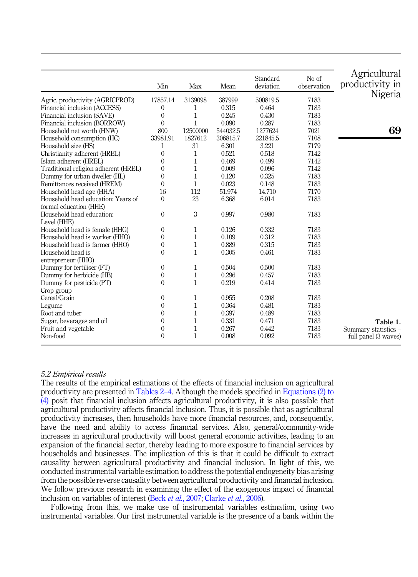<span id="page-8-0"></span>

|                                      | Min          | Max          | Mean     | Standard<br>deviation | No of<br>observation | Agricultural<br>productivity in |
|--------------------------------------|--------------|--------------|----------|-----------------------|----------------------|---------------------------------|
| Agric. productivity (AGRICPROD)      | 17857.14     | 3139098      | 387999   | 500819.5              | 7183                 | Nigeria                         |
| Financial inclusion (ACCESS)         | $\theta$     | 1            | 0.315    | 0.464                 | 7183                 |                                 |
| Financial inclusion (SAVE)           | $\theta$     | $\mathbf{1}$ | 0.245    | 0.430                 | 7183                 |                                 |
| Financial inclusion (BORROW)         | $\theta$     | $\mathbf{1}$ | 0.090    | 0.287                 | 7183                 |                                 |
| Household net worth (HNW)            | 800          | 12500000     | 544032.5 | 1277624               | 7021                 | 69                              |
| Household consumption (HC)           | 33981.91     | 1827612      | 306815.7 | 221845.5              | 7108                 |                                 |
| Household size (HS)                  | 1            | 31           | 6.301    | 3.221                 | 7179                 |                                 |
| Christianity adherent (HREL)         | 0            | 1            | 0.521    | 0.518                 | 7142                 |                                 |
| Islam adherent (HREL)                | $\theta$     | 1            | 0.469    | 0.499                 | 7142                 |                                 |
| Traditional religion adherent (HREL) | $\theta$     | $\mathbf{1}$ | 0.009    | 0.096                 | 7142                 |                                 |
| Dummy for urban dweller (HL)         | $\theta$     | $\mathbf{1}$ | 0.120    | 0.325                 | 7183                 |                                 |
| Remittances received (HREM)          | $\theta$     | $\mathbf{1}$ | 0.023    | 0.148                 | 7183                 |                                 |
| Household head age (HHA)             | 16           | 112          | 51.974   | 14.710                | 7170                 |                                 |
| Household head education: Years of   | $\Omega$     | 23           | 6.368    | 6.014                 | 7183                 |                                 |
| formal education (HHE)               |              |              |          |                       |                      |                                 |
| Household head education:            | $\mathbf{0}$ | 3            | 0.997    | 0.980                 | 7183                 |                                 |
| Level (HHE)                          |              |              |          |                       |                      |                                 |
| Household head is female (HHG)       | $\theta$     | 1            | 0.126    | 0.332                 | 7183                 |                                 |
| Household head is worker (HHO)       | $\theta$     | $\mathbf{1}$ | 0.109    | 0.312                 | 7183                 |                                 |
| Household head is farmer (HHO)       | $\mathbf{0}$ | $\mathbf{1}$ | 0.889    | 0.315                 | 7183                 |                                 |
| Household head is                    | $\theta$     | $\mathbf{1}$ | 0.305    | 0.461                 | 7183                 |                                 |
| entrepreneur (HHO)                   |              |              |          |                       |                      |                                 |
| Dummy for fertiliser (FT)            | $\theta$     | $\mathbf{1}$ | 0.504    | 0.500                 | 7183                 |                                 |
| Dummy for herbicide (HB)             | $\theta$     | $\mathbf{1}$ | 0.296    | 0.457                 | 7183                 |                                 |
| Dummy for pesticide (PT)             | $\theta$     | $\mathbf{1}$ | 0.219    | 0.414                 | 7183                 |                                 |
| Crop group                           |              |              |          |                       |                      |                                 |
| Cereal/Grain                         | $\theta$     | 1            | 0.955    | 0.208                 | 7183                 |                                 |
| Legume                               | $\theta$     | 1            | 0.364    | 0.481                 | 7183                 |                                 |
| Root and tuber                       | $\theta$     | 1            | 0.397    | 0.489                 | 7183                 |                                 |
| Sugar, beverages and oil             | $\theta$     | 1            | 0.331    | 0.471                 | 7183                 | Table 1.                        |
| Fruit and vegetable                  | $\mathbf{0}$ | $\mathbf{1}$ | 0.267    | 0.442                 | 7183                 | Summary statistics -            |
| Non-food                             | $\theta$     | $\mathbf{1}$ | 0.008    | 0.092                 | 7183                 | full panel (3 waves)            |

# 5.2 Empirical results

The results of the empirical estimations of the effects of financial inclusion on agricultural productivity are presented in [Tables 2](#page-9-0)–[4.](#page-9-0) Although the models specified in [Equations \(2\) to](#page-6-0) [\(4\)](#page-6-0) posit that financial inclusion affects agricultural productivity, it is also possible that agricultural productivity affects financial inclusion. Thus, it is possible that as agricultural productivity increases, then households have more financial resources, and, consequently, have the need and ability to access financial services. Also, general/community-wide increases in agricultural productivity will boost general economic activities, leading to an expansion of the financial sector, thereby leading to more exposure to financial services by households and businesses. The implication of this is that it could be difficult to extract causality between agricultural productivity and financial inclusion. In light of this, we conducted instrumental variable estimation to address the potential endogeneity bias arising from the possible reverse causality between agricultural productivity and financial inclusion. We follow previous research in examining the effect of the exogenous impact of financial inclusion on variables of interest (Beck et al.[, 2007;](#page-16-4) [Clarke](#page-16-11) et al., 2006).

Following from this, we make use of instrumental variables estimation, using two instrumental variables. Our first instrumental variable is the presence of a bank within the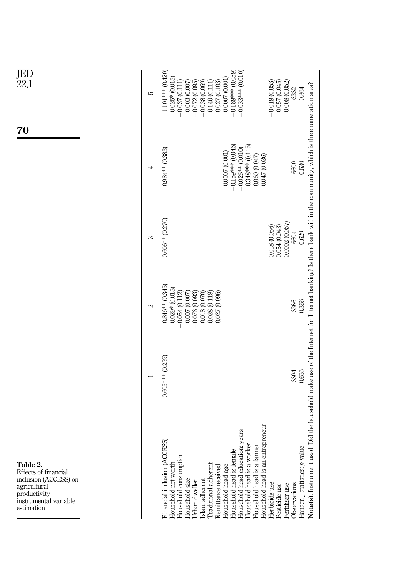<span id="page-9-0"></span>

| JED<br>22,1<br>70                                                                                                                 | S             | 1.101*** (0.420)<br>$-0.189***$ (0.059)<br>$-0.033***$ (0.010)<br>$-0.025*(0.015)$<br>$-0.0007$ (0.001<br>$-0.008(0.052)$<br>$-0.072(0.095)$<br>$-0.038(0.069)$<br>$-0.019(0.053)$<br>0.057(0.045)<br>$-0.037(0.111)$<br>0.003 (0.007<br>0.027 (0.103)<br>$-0.140(0.111)$<br>0.364<br>6362                                                                                                                                                                                                                              |
|-----------------------------------------------------------------------------------------------------------------------------------|---------------|-------------------------------------------------------------------------------------------------------------------------------------------------------------------------------------------------------------------------------------------------------------------------------------------------------------------------------------------------------------------------------------------------------------------------------------------------------------------------------------------------------------------------|
|                                                                                                                                   | 4             | id the household make use of the Internet for Internet banking? Is there bank within the community, which is the enumeration area?<br>$-0.159***$ (0.046)<br>$-0.348***$ (0.115)<br>$-0.026**00.010$<br>$0.984**$ (0.383)<br>$-0.0007(0.001)$<br>0.060(0.047)<br>$-0.047(0.036)$<br>0.530<br>6600                                                                                                                                                                                                                       |
|                                                                                                                                   | S             | $0.606**$ (0.270)<br>0.0002(0.057)<br>0.018 (0.056)<br>0.054(0.043)<br>0.629<br>6604                                                                                                                                                                                                                                                                                                                                                                                                                                    |
|                                                                                                                                   | $\mathcal{L}$ | $0.846**$ $(0.345)$<br>$-0.029*(0.015)$<br>$-0.054(0.112)$<br>0.018(0.070)<br>0.007 (0.007)<br>$-0.076(0.093)$<br>$-0.028(0.118)$<br>0.027 (0.096)<br>0.366<br>6366                                                                                                                                                                                                                                                                                                                                                     |
|                                                                                                                                   |               | $0.605***$ (0.259)<br>0.655<br>6604                                                                                                                                                                                                                                                                                                                                                                                                                                                                                     |
| Table 2.<br>Effects of financial<br>inclusion (ACCESS) on<br>agricultural<br>productivity-<br>instrumental variable<br>estimation |               | eneur<br>sue<br>Financial inclusion (ACCESS)<br>Household head education: y<br>Household head is an entrepr<br>Note(s): Instrument used: D<br>Household head is a worker<br>Household head is a farmer<br>Hansen J statistics: p-value<br>Household head is female<br>Household consumption<br>Household net worth<br>Traditional adherent<br>Household head age<br>Remittance received<br>Islam adherent<br>Household size<br><b>Jrban</b> dweller<br>Herbicide use<br>Observations<br>Pesticide use<br>Fertiliser use |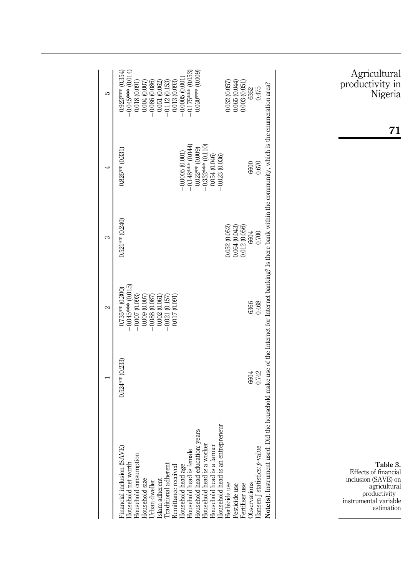<span id="page-10-0"></span>

|                            | 0.064(0.043)<br>0.012 (0.056)<br>0.052(0.052)                                                                       |
|----------------------------|---------------------------------------------------------------------------------------------------------------------|
|                            |                                                                                                                     |
|                            |                                                                                                                     |
| Household head is a worker | Household head is an entrepreneur<br>Household head is a farmer<br>Herbicide use<br>Fertiliser use<br>Pesticide use |

71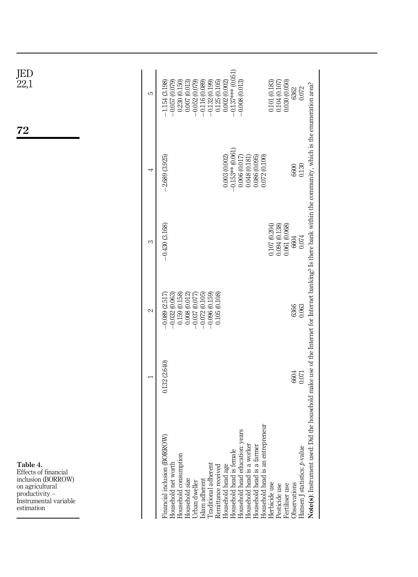<span id="page-11-0"></span>

| JED<br>22,1<br>72                                                                                                                  | ပ             | $-0.137***$ (0.051)<br>0.030(0.050)<br>$-0.057(0.079)$<br>0.230 (0.150)<br>$-0.052(0.079)$<br>$-0.132(0.199)$<br>0.101 (0.183)<br>0.104(0.107)<br>$-1.154$ (3.198)<br>0.007(0.013)<br>$-0.116(0.089)$<br>0.125(0.105)<br>0.002 (0.002)<br>$-0.008(0.013)$<br>0.072<br>6362                                                                                                                                                                                                                                                                                                                                                                      |
|------------------------------------------------------------------------------------------------------------------------------------|---------------|-------------------------------------------------------------------------------------------------------------------------------------------------------------------------------------------------------------------------------------------------------------------------------------------------------------------------------------------------------------------------------------------------------------------------------------------------------------------------------------------------------------------------------------------------------------------------------------------------------------------------------------------------|
|                                                                                                                                    | 4             | $-0.153**$ (0.061)<br>$-2.689(3.925)$<br>0.072 (0.100)<br>0.003(0.002)<br>0.006(0.017)<br>0.086(0.095)<br>0.048 (0.181)<br>0.130<br>6600                                                                                                                                                                                                                                                                                                                                                                                                                                                                                                        |
|                                                                                                                                    | S             | $-0.430(3.168)$<br>0.107(0.204)<br>0.094(0.138)<br>0.061(0.068)<br>0.074<br>6604                                                                                                                                                                                                                                                                                                                                                                                                                                                                                                                                                                |
|                                                                                                                                    | $\mathcal{L}$ | $-0.096(0.159)$<br>$-0.032(0.063)$<br>0.159(0.158)<br>0.008(0.012)<br>$-0.072(0.105)$<br>0.105 (0.108)<br>$-0.089$ (2.517)<br>$-0.037$ (0.077)<br>6366<br>0.063                                                                                                                                                                                                                                                                                                                                                                                                                                                                                 |
|                                                                                                                                    |               | 0.132 (2.640)<br>6604<br>0.071                                                                                                                                                                                                                                                                                                                                                                                                                                                                                                                                                                                                                  |
| Table 4.<br>Effects of financial<br>inclusion (BORROW)<br>on agricultural<br>productivity -<br>Instrumental variable<br>estimation |               | Note(s): Instrument used. Did the household make use of the Internet for Internet banking? Is there bank within the community, which is the enumeration area?<br>reneur<br>Household head education: years<br>Financial inclusion (BORROW)<br>Household head is an entrep<br>Household head is a worker<br>Household head is a farmer<br>Hansen J statistics: p-value<br>Household head is female<br>Household consumption<br>Household net worth<br>Traditional adherent<br>Household head age<br>Remittance received<br>Islam adherent<br>Household size<br>Urban dweller<br>Observations<br>Herbicide use<br>Fertiliser use<br>Pesticide use |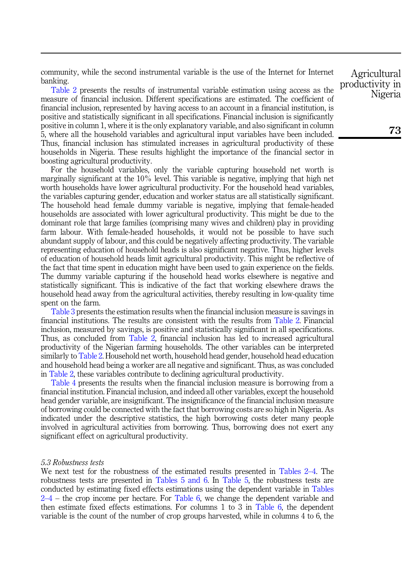community, while the second instrumental variable is the use of the Internet for Internet banking.

[Table 2](#page-9-0) presents the results of instrumental variable estimation using access as the measure of financial inclusion. Different specifications are estimated. The coefficient of financial inclusion, represented by having access to an account in a financial institution, is positive and statistically significant in all specifications. Financial inclusion is significantly positive in column 1, where it is the only explanatory variable, and also significant in column 5, where all the household variables and agricultural input variables have been included. Thus, financial inclusion has stimulated increases in agricultural productivity of these households in Nigeria. These results highlight the importance of the financial sector in boosting agricultural productivity.

For the household variables, only the variable capturing household net worth is marginally significant at the 10% level. This variable is negative, implying that high net worth households have lower agricultural productivity. For the household head variables, the variables capturing gender, education and worker status are all statistically significant. The household head female dummy variable is negative, implying that female-headed households are associated with lower agricultural productivity. This might be due to the dominant role that large families (comprising many wives and children) play in providing farm labour. With female-headed households, it would not be possible to have such abundant supply of labour, and this could be negatively affecting productivity. The variable representing education of household heads is also significant negative. Thus, higher levels of education of household heads limit agricultural productivity. This might be reflective of the fact that time spent in education might have been used to gain experience on the fields. The dummy variable capturing if the household head works elsewhere is negative and statistically significant. This is indicative of the fact that working elsewhere draws the household head away from the agricultural activities, thereby resulting in low-quality time spent on the farm.

[Table 3](#page-10-0) presents the estimation results when the financial inclusion measure is savings in financial institutions. The results are consistent with the results from [Table 2.](#page-9-0) Financial inclusion, measured by savings, is positive and statistically significant in all specifications. Thus, as concluded from [Table 2,](#page-9-0) financial inclusion has led to increased agricultural productivity of the Nigerian farming households. The other variables can be interpreted similarly to [Table 2.](#page-9-0) Household net worth, household head gender, household head education and household head being a worker are all negative and significant. Thus, as was concluded in [Table 2,](#page-9-0) these variables contribute to declining agricultural productivity.

[Table 4](#page-11-0) presents the results when the financial inclusion measure is borrowing from a financial institution. Financial inclusion, and indeed all other variables, except the household head gender variable, are insignificant. The insignificance of the financial inclusion measure of borrowing could be connected with the fact that borrowing costs are so high in Nigeria. As indicated under the descriptive statistics, the high borrowing costs deter many people involved in agricultural activities from borrowing. Thus, borrowing does not exert any significant effect on agricultural productivity.

# 5.3 Robustness tests

We next test for the robustness of the estimated results presented in [Tables 2](#page-9-0)–[4.](#page-9-0) The robustness tests are presented in [Tables 5 and 6.](#page-13-0) In [Table 5](#page-13-0), the robustness tests are conducted by estimating fixed effects estimations using the dependent variable in [Tables](#page-9-0)  $2-4$  $2-4$  $2-4$  – the crop income per hectare. For [Table 6](#page-14-0), we change the dependent variable and then estimate fixed effects estimations. For columns 1 to 3 in [Table 6](#page-14-0), the dependent variable is the count of the number of crop groups harvested, while in columns 4 to 6, the

Agricultural productivity in Nigeria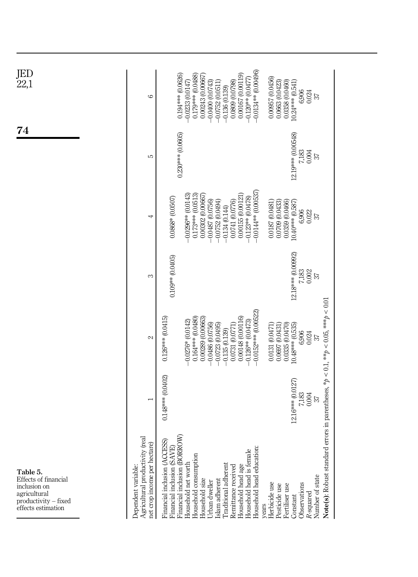<span id="page-13-0"></span>

| JED<br>22,1<br>74                                                                                              | 6                                                                                      | $-0.0134**$ (0.00496)<br>0.194*** (0.0626)<br>0.179*** (0.0488)<br>0.00167(0.00119)<br>0.00243 (0.00667)<br>$-0.120**$ (0.0477)<br>$-0.0233(0.0147)$<br>$-0.0400(0.0743)$<br>$-0.0752(0.0511)$<br>0.0809 (0.0798)<br>$-0.136(0.139)$                                                                                                  | 0.00957 (0.0456)<br>0.0663 (0.0423)<br>0.0358 (0.0460)<br>$10.24***$ (0.541)<br>6,906<br>0.024<br>57                                                                                                         |
|----------------------------------------------------------------------------------------------------------------|----------------------------------------------------------------------------------------|---------------------------------------------------------------------------------------------------------------------------------------------------------------------------------------------------------------------------------------------------------------------------------------------------------------------------------------|--------------------------------------------------------------------------------------------------------------------------------------------------------------------------------------------------------------|
|                                                                                                                | 5                                                                                      | $0.230***$ (0.0605)                                                                                                                                                                                                                                                                                                                   | 12.19*** (0.00548)<br>7,183<br>0.004<br>57                                                                                                                                                                   |
|                                                                                                                | 4                                                                                      | $-0.0144**$ (0.00537<br>$-0.0296**$ (0.0143)<br>$0.173***$ (0.0513)<br>0.00155 (0.00121)<br>0.00302 (0.00667)<br>0.0868* (0.0507)<br>$-0.123**$ $(0.0478)$<br>0.0741 (0.0776)<br>$-0.0487(0.0756)$<br>$-0.0752(0.0494)$<br>$-0.134(0.144)$                                                                                            | 10.40*** (0.587)<br>0.0187 (0.0481)<br>0.0709 (0.0433)<br>0.0359 (0.0466)<br>6,906<br>0.022<br>57                                                                                                            |
|                                                                                                                | S                                                                                      | $0.109**$ $(0.0405)$                                                                                                                                                                                                                                                                                                                  | 12.18*** (0.00992)<br>7,183<br>0.002<br>57                                                                                                                                                                   |
|                                                                                                                | $\mathcal{L}$                                                                          | $-0.0152***$ (0.00522)<br>0.164 *** (0.0480)<br>0.00148 (0.00116)<br>$0.126***$ $(0.0415)$<br>0.00289 (0.00663)<br>$-0.126**$ (0.0473)<br>$-0.0276*$ (0.0142)<br>$-0.0486(0.0756)$<br>0.0731 (0.0771)<br>$-0.0723(0.0495)$<br>$-0.135(0.139)$                                                                                         | 10.48*** (0.535)<br>0.0335 (0.0470)<br>0.0131 (0.0471)<br>0.0697 (0.0431)<br>6,906<br>0.024<br>57                                                                                                            |
|                                                                                                                |                                                                                        | 0.148*** (0.0402)                                                                                                                                                                                                                                                                                                                     | 12.16*** (0.0127)<br>7,183<br>0.004<br>$\overline{37}$                                                                                                                                                       |
| Table 5.<br>Effects of financial<br>inclusion on<br>agricultural<br>productivity – fixed<br>effects estimation | Agricultural productivity (real<br>net crop income per hectare)<br>Dependent variable: | Financial inclusion (BORROW)<br>Financial inclusion (ACCESS<br>Financial inclusion (SAVE)<br>Household head education:<br>Household head is female<br>Household consumption<br>Household net worth<br>Traditional adherent<br>Household head age<br>Remittance received<br>Islam adherent<br>Household size<br>Urban dweller<br>years | Note(s): Robust standard errors in parentheses, * $p < 0.1$ , ** $p < 0.05$ , *** $p < 0.01$<br>Number of state<br>Herbicide use<br>Observations<br>Pesticide use<br>Fertiliser use<br>R-squared<br>Constant |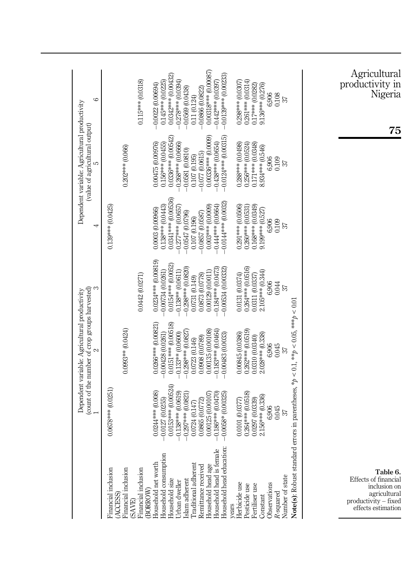<span id="page-14-0"></span>

|                                                                                                                                        |                                                               | (count of the number of crop groups harvested)<br>Dependent variable: Agricultural productivity<br>$\sim$ |                                                                   | 4                                                               | Dependent variable: Agricultural productivity<br>(value of agricultural output) | 6                                                                |
|----------------------------------------------------------------------------------------------------------------------------------------|---------------------------------------------------------------|-----------------------------------------------------------------------------------------------------------|-------------------------------------------------------------------|-----------------------------------------------------------------|---------------------------------------------------------------------------------|------------------------------------------------------------------|
|                                                                                                                                        | $0.0678***00.0251$                                            |                                                                                                           |                                                                   | 0.139*** (0.0425)                                               |                                                                                 |                                                                  |
| Financial inclusion<br>(ACCESS)<br>Financial inclusion                                                                                 |                                                               | 0.0993** (0.0424)                                                                                         |                                                                   |                                                                 | $0.202***$ (0.066)                                                              |                                                                  |
|                                                                                                                                        |                                                               |                                                                                                           | 0.0442 (0.0271)                                                   |                                                                 |                                                                                 | $0.115***$ (0.0318)                                              |
| (SAVE)<br>Financial inclusion<br>(BORROW)<br>Household net worth<br>Household size<br>Household size<br>Urban dweller<br>Urban dweller | 0.0153*** (0.00524)<br>0.0244*** (0.008)<br>$-0.0127(0.0255)$ | 0.0266*** (0.00821)<br>0.0151*** (0.00518)<br>$-0.00428$ $(0.0261)$                                       | 0.0234 *** (0.00819)<br>0.0154 *** (0.0052)<br>$-0.00734(0.0261)$ | 0.0341 *** (0.00536)<br>$0.138***$ (0.0443)<br>0.0003 (0.00966) | 0.0336 *** (0.00542)<br>$0.156***$ $(0.0455)$<br>0.00475 (0.00976)              | 0.0342*** (0.00432)<br>$0.145***$ (0.0225)<br>$-0.0022(0.00694)$ |
|                                                                                                                                        | $-0.138***$ (0.0619)<br>$-0.297***0.0821$                     | $0.298***00.0827$<br>$0.133**$ $(0.0600)$                                                                 | 0.298*** (0.0820)<br>$-0.138**$ $(0.0611)$                        | $-0.277***(0.0657)$<br>$-0.0547(0.0796)$                        | $-0.268***$ (0.0666)<br>$-0.0581(0.0810)$                                       | $-0.278***(0.0394)$<br>$-0.0569(0.0438)$                         |
| Traditional adherent                                                                                                                   | 0.0865 (0.0772)<br>0.0724 (0.147)                             | 0.0908 (0.0789)<br>0.0723 (0.146)                                                                         | 0.0873 (0.0778)<br>0.0731 (0.149)                                 | $-0.0857$ (0.0587)<br>0.107 (0.196)                             | $-0.077(0.0615)$<br>0.107 (0.195)                                               | $-0.0866(0.0822)$<br>0.11(0.124)                                 |
| Remittance received<br>Household head age<br>Household head is female<br>Household head education:                                     | $-0.186***$ (0.0470)<br>0.00125 (0.00107                      | 0.00135 (0.00108)<br>0.183*** (0.0464)                                                                    | 0.184*** (0.0473)<br>0.00129 (0.0011)                             | $-0.444***$ (0.0664)<br>$0.003***00.0009$                       | $0.00336***$ (0.0009)<br>$-0.438***$ (0.0654)                                   | 0.00318*** (0.00087)<br>$-0.442***$ (0.0397)                     |
|                                                                                                                                        | $-0.0058*$ (0.00325)                                          | $-0.00483(0.0033)$                                                                                        | $-0.00534(0.00332)$                                               | $-0.0144***$ (0.0032)                                           | $-0.0124***$ (0.00315)                                                          | $-0.0139***0.00233$                                              |
| years<br>Herbicide use<br>Pesticide use<br>Fertiliser use<br>Constant                                                                  | 0.0101 (0.0377)                                               | 0.00845 (0.0386)                                                                                          | 0.0131 (0.0374)                                                   | 0.291 *** (0.0506)                                              | 0.288*** (0.0498)                                                               | 0.298*** (0.0307)                                                |
|                                                                                                                                        | $0.264***$ (0.0518)                                           | $0.262***$ (0.0519)                                                                                       | 0.264 *** (0.0516)                                                | $0.260***$ (0.0531                                              | 0.256*** (0.0524)                                                               | $0.261***$ $(0.0314)$                                            |
|                                                                                                                                        | 0.0297 (0.0339)                                               | 0.0310 (0.0340)                                                                                           | 0.0311 (0.0337)                                                   | 0.168*** (0.0349)                                               | 0.171*** (0.0348)                                                               | 0.17*** (0.0282)                                                 |
| <b>Jbservations</b>                                                                                                                    | 2.156*** (0.336)<br>6,906                                     | 2.028*** (0.338)<br>6,906                                                                                 | 2.105*** (0.344)<br>6,906                                         | 9.199*** (0.527)<br>6,906                                       | 8.934 *** (0.546)<br>6,906                                                      | 9.136*** (0.276)<br>6,906                                        |
| R-squared                                                                                                                              | 0.045                                                         | 0.045                                                                                                     | 0.044                                                             | 0.109                                                           | 0.109                                                                           | 0.108                                                            |
| Number of state                                                                                                                        | 57                                                            | 57                                                                                                        | 57                                                                | 57                                                              | 57                                                                              | 57                                                               |
| Note(s): Robust standard errors in parentheses, * $p < 0.1$ , ** $p < 0.05$ , *** $p < 0.01$                                           |                                                               |                                                                                                           |                                                                   |                                                                 |                                                                                 |                                                                  |
|                                                                                                                                        |                                                               |                                                                                                           |                                                                   |                                                                 |                                                                                 |                                                                  |
|                                                                                                                                        |                                                               |                                                                                                           |                                                                   |                                                                 |                                                                                 |                                                                  |

Agricultural productivity in Nigeria

75

Table 6. Effects of financial inclusion on agricultural productivity – fixed effects estimation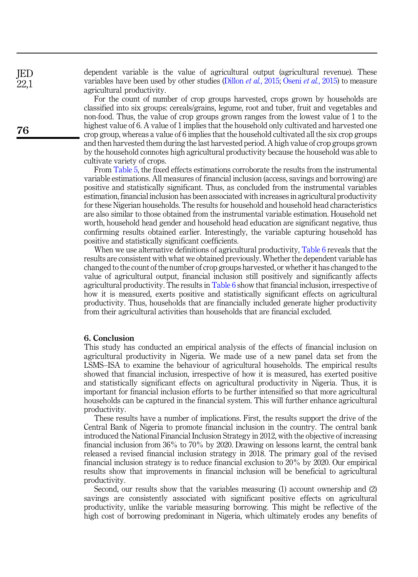dependent variable is the value of agricultural output (agricultural revenue). These variables have been used by other studies ([Dillon](#page-17-21) *et al.*[, 2015](#page-17-22); Oseni *et al.*, 2015) to measure agricultural productivity.

For the count of number of crop groups harvested, crops grown by households are classified into six groups: cereals/grains, legume, root and tuber, fruit and vegetables and non-food. Thus, the value of crop groups grown ranges from the lowest value of 1 to the highest value of 6. A value of 1 implies that the household only cultivated and harvested one crop group, whereas a value of 6 implies that the household cultivated all the six crop groups and then harvested them during the last harvested period. A high value of crop groups grown by the household connotes high agricultural productivity because the household was able to cultivate variety of crops.

From [Table 5,](#page-13-0) the fixed effects estimations corroborate the results from the instrumental variable estimations. All measures of financial inclusion (access, savings and borrowing) are positive and statistically significant. Thus, as concluded from the instrumental variables estimation, financial inclusion has been associated with increases in agricultural productivity for these Nigerian households. The results for household and household head characteristics are also similar to those obtained from the instrumental variable estimation. Household net worth, household head gender and household head education are significant negative, thus confirming results obtained earlier. Interestingly, the variable capturing household has positive and statistically significant coefficients.

When we use alternative definitions of agricultural productivity, [Table 6](#page-14-0) reveals that the results are consistent with what we obtained previously. Whether the dependent variable has changed to the count of the number of crop groups harvested, or whether it has changed to the value of agricultural output, financial inclusion still positively and significantly affects agricultural productivity. The results in [Table 6](#page-14-0) show that financial inclusion, irrespective of how it is measured, exerts positive and statistically significant effects on agricultural productivity. Thus, households that are financially included generate higher productivity from their agricultural activities than households that are financial excluded.

#### 6. Conclusion

This study has conducted an empirical analysis of the effects of financial inclusion on agricultural productivity in Nigeria. We made use of a new panel data set from the LSMS–ISA to examine the behaviour of agricultural households. The empirical results showed that financial inclusion, irrespective of how it is measured, has exerted positive and statistically significant effects on agricultural productivity in Nigeria. Thus, it is important for financial inclusion efforts to be further intensified so that more agricultural households can be captured in the financial system. This will further enhance agricultural productivity.

These results have a number of implications. First, the results support the drive of the Central Bank of Nigeria to promote financial inclusion in the country. The central bank introduced the National Financial Inclusion Strategy in 2012, with the objective of increasing financial inclusion from 36% to 70% by 2020. Drawing on lessons learnt, the central bank released a revised financial inclusion strategy in 2018. The primary goal of the revised financial inclusion strategy is to reduce financial exclusion to 20% by 2020. Our empirical results show that improvements in financial inclusion will be beneficial to agricultural productivity.

Second, our results show that the variables measuring (1) account ownership and (2) savings are consistently associated with significant positive effects on agricultural productivity, unlike the variable measuring borrowing. This might be reflective of the high cost of borrowing predominant in Nigeria, which ultimately erodes any benefits of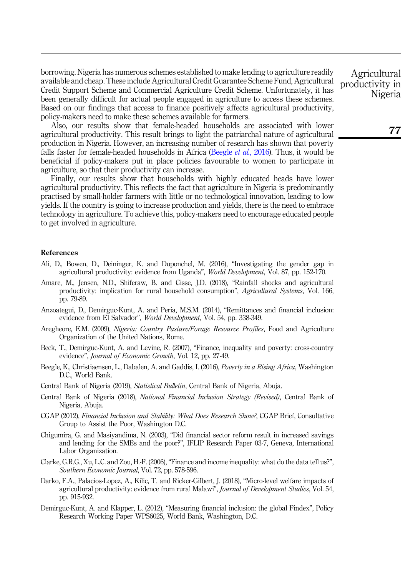borrowing. Nigeria has numerous schemes established to make lending to agriculture readily available and cheap. These include Agricultural Credit Guarantee Scheme Fund, Agricultural Credit Support Scheme and Commercial Agriculture Credit Scheme. Unfortunately, it has been generally difficult for actual people engaged in agriculture to access these schemes. Based on our findings that access to finance positively affects agricultural productivity, policy-makers need to make these schemes available for farmers.

Also, our results show that female-headed households are associated with lower agricultural productivity. This result brings to light the patriarchal nature of agricultural production in Nigeria. However, an increasing number of research has shown that poverty falls faster for female-headed households in Africa [\(Beegle](#page-16-12) *et al.*, 2016). Thus, it would be beneficial if policy-makers put in place policies favourable to women to participate in agriculture, so that their productivity can increase.

Finally, our results show that households with highly educated heads have lower agricultural productivity. This reflects the fact that agriculture in Nigeria is predominantly practised by small-holder farmers with little or no technological innovation, leading to low yields. If the country is going to increase production and yields, there is the need to embrace technology in agriculture. To achieve this, policy-makers need to encourage educated people to get involved in agriculture.

#### References

- <span id="page-16-6"></span>Ali, D., Bowen, D., Deininger, K. and Duponchel, M. (2016), "Investigating the gender gap in agricultural productivity: evidence from Uganda", World Development, Vol. 87, pp. 152-170.
- <span id="page-16-7"></span>Amare, M., Jensen, N.D., Shiferaw, B. and Cisse, J.D. (2018), "Rainfall shocks and agricultural productivity: implication for rural household consumption", Agricultural Systems, Vol. 166, pp. 79-89.
- <span id="page-16-9"></span>Anzoategui, D., Demirguc-Kunt, A. and Peria, M.S.M. (2014), "Remittances and financial inclusion: evidence from El Salvador", World Development, Vol. 54, pp. 338-349.
- <span id="page-16-1"></span>Aregheore, E.M. (2009), Nigeria: Country Pasture/Forage Resource Profiles, Food and Agriculture Organization of the United Nations, Rome.
- <span id="page-16-4"></span>Beck, T., Demirguc-Kunt, A. and Levine, R. (2007), "Finance, inequality and poverty: cross-country evidence", Journal of Economic Growth, Vol. 12, pp. 27-49.
- <span id="page-16-12"></span>Beegle, K., Christiaensen, L., Dabalen, A. and Gaddis, I. (2016), *Poverty in a Rising Africa*, Washington D.C., World Bank.
- <span id="page-16-0"></span>Central Bank of Nigeria (2019), Statistical Bulletin, Central Bank of Nigeria, Abuja.
- <span id="page-16-10"></span>Central Bank of Nigeria (2018), National Financial Inclusion Strategy (Revised), Central Bank of Nigeria, Abuja.
- <span id="page-16-2"></span>CGAP (2012), Financial Inclusion and Stability: What Does Research Show?, CGAP Brief, Consultative Group to Assist the Poor, Washington D.C.
- <span id="page-16-5"></span>Chigumira, G. and Masiyandima, N. (2003), "Did financial sector reform result in increased savings and lending for the SMEs and the poor?", IFLIP Research Paper 03-7, Geneva, International Labor Organization.
- <span id="page-16-11"></span>Clarke, G.R.G., Xu, L.C. and Zou, H.-F. (2006), "Finance and income inequality: what do the data tell us?", Southern Economic Journal, Vol. 72, pp. 578-596.
- <span id="page-16-8"></span>Darko, F.A., Palacios-Lopez, A., Kilic, T. and Ricker-Gilbert, J. (2018), "Micro-level welfare impacts of agricultural productivity: evidence from rural Malawi", Journal of Development Studies, Vol. 54, pp. 915-932.
- <span id="page-16-3"></span>Demirguc-Kunt, A. and Klapper, L. (2012), "Measuring financial inclusion: the global Findex", Policy Research Working Paper WPS6025, World Bank, Washington, D.C.

Agricultural productivity in Nigeria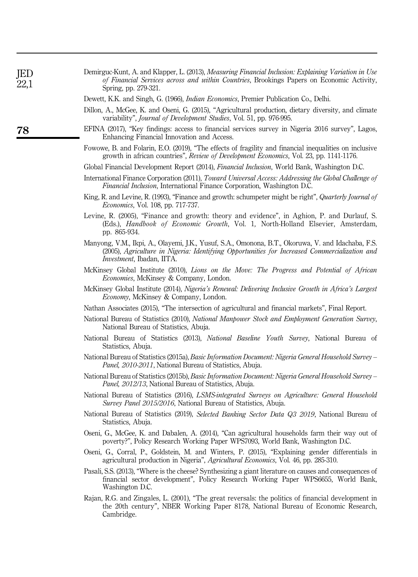<span id="page-17-22"></span><span id="page-17-21"></span><span id="page-17-20"></span><span id="page-17-19"></span><span id="page-17-18"></span><span id="page-17-17"></span><span id="page-17-16"></span><span id="page-17-15"></span><span id="page-17-14"></span><span id="page-17-13"></span><span id="page-17-12"></span><span id="page-17-11"></span><span id="page-17-10"></span><span id="page-17-9"></span><span id="page-17-8"></span><span id="page-17-7"></span><span id="page-17-6"></span><span id="page-17-5"></span><span id="page-17-4"></span><span id="page-17-3"></span><span id="page-17-2"></span><span id="page-17-1"></span><span id="page-17-0"></span>

| Demirguc-Kunt, A. and Klapper, L. (2013), Measuring Financial Inclusion: Explaining Variation in Use<br>of Financial Services across and within Countries, Brookings Papers on Economic Activity,<br>Spring, pp. 279-321.                |
|------------------------------------------------------------------------------------------------------------------------------------------------------------------------------------------------------------------------------------------|
| Dewett, K.K. and Singh, G. (1966), <i>Indian Economics</i> , Premier Publication Co., Delhi.                                                                                                                                             |
| Dillon, A., McGee, K. and Oseni, G. (2015), "Agricultural production, dietary diversity, and climate<br>variability", <i>Journal of Development Studies</i> , Vol. 51, pp. 976-995.                                                      |
| EFINA (2017), "Key findings: access to financial services survey in Nigeria 2016 survey", Lagos,<br>Enhancing Financial Innovation and Access.                                                                                           |
| Fowowe, B. and Folarin, E.O. (2019), "The effects of fragility and financial inequalities on inclusive<br>growth in african countries", Review of Development Economics, Vol. 23, pp. 1141-1176.                                         |
| Global Financial Development Report (2014), Financial Inclusion, World Bank, Washington D.C.                                                                                                                                             |
| International Finance Corporation (2011), Toward Universal Access: Addressing the Global Challenge of<br>Financial Inclusion, International Finance Corporation, Washington D.C.                                                         |
| King, R. and Levine, R. (1993), "Finance and growth: schumpeter might be right", Quarterly Journal of<br><i>Economics</i> , Vol. 108, pp. 717-737.                                                                                       |
| Levine, R. (2005), "Finance and growth: theory and evidence", in Aghion, P. and Durlauf, S.<br>(Eds.), <i>Handbook of Economic Growth</i> , Vol. 1, North-Holland Elsevier, Amsterdam,<br>pp. 865-934.                                   |
| Manyong, V.M., Ikpi, A., Olayemi, J.K., Yusuf, S.A., Omonona, B.T., Okoruwa, V. and Idachaba, F.S.<br>(2005), Agriculture in Nigeria: Identifying Opportunities for Increased Commercialization and<br><i>Investment</i> , Ibadan, IITA. |
| McKinsey Global Institute (2010), Lions on the Move: The Progress and Potential of African<br><i>Economies</i> , McKinsey & Company, London.                                                                                             |
| McKinsey Global Institute (2014), Nigeria's Renewal: Delivering Inclusive Growth in Africa's Largest<br><i>Economy</i> , McKinsey & Company, London.                                                                                     |
| Nathan Associates (2015), "The intersection of agricultural and financial markets", Final Report.                                                                                                                                        |
| National Bureau of Statistics (2010), National Manpower Stock and Employment Generation Survey,<br>National Bureau of Statistics, Abuja.                                                                                                 |
| National Bureau of Statistics (2013), <i>National Baseline Youth Survey</i> , National Bureau of<br>Statistics, Abuja.                                                                                                                   |
| National Bureau of Statistics (2015a), Basic Information Document: Nigeria General Household Survey –<br><i>Panel, 2010-2011</i> , National Bureau of Statistics, Abuja.                                                                 |
| National Bureau of Statistics (2015b), Basic Information Document: Nigeria General Household Survey –<br><i>Panel, 2012/13</i> , National Bureau of Statistics, Abuja.                                                                   |
| National Bureau of Statistics (2016), LSMS-integrated Surveys on Agriculture: General Household<br>Survey Panel 2015/2016, National Bureau of Statistics, Abuja.                                                                         |
| National Bureau of Statistics (2019), Selected Banking Sector Data Q3 2019, National Bureau of<br>Statistics, Abuja.                                                                                                                     |
| Oseni, G., McGee, K. and Dabalen, A. (2014), "Can agricultural households farm their way out of<br>poverty?", Policy Research Working Paper WPS7093, World Bank, Washington D.C.                                                         |
| Oseni, G., Corral, P., Goldstein, M. and Winters, P. (2015), "Explaining gender differentials in<br>agricultural production in Nigeria", Agricultural Economics, Vol. 46, pp. 285-310.                                                   |
| Pasali, S.S. (2013), "Where is the cheese? Synthesizing a giant literature on causes and consequences of<br>financial sector development", Policy Research Working Paper WPS6655, World Bank,<br>Washington D.C.                         |
| Rajan, R.G. and Zingales, L. (2001), "The great reversals: the politics of financial development in<br>the 20th century", NBER Working Paper 8178, National Bureau of Economic Research,<br>Cambridge.                                   |
|                                                                                                                                                                                                                                          |